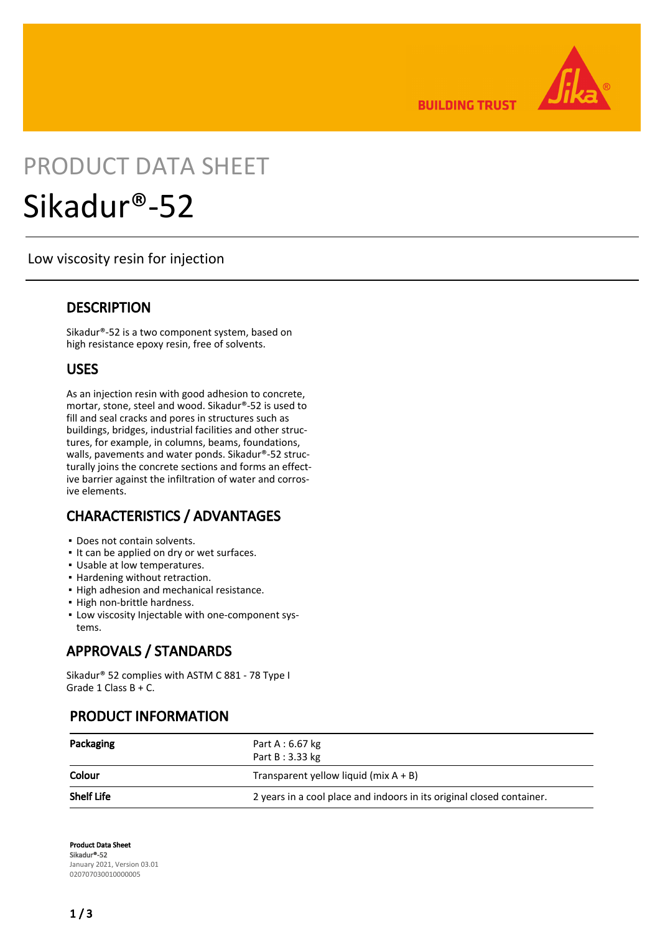

**BUILDING TRUST** 

# PRODUCT DATA SHEET Sikadur®-52

Low viscosity resin for injection

#### **DESCRIPTION**

Sikadur®-52 is a two component system, based on high resistance epoxy resin, free of solvents.

#### USES

As an injection resin with good adhesion to concrete, mortar, stone, steel and wood. Sikadur®-52 is used to fill and seal cracks and pores in structures such as buildings, bridges, industrial facilities and other structures, for example, in columns, beams, foundations, walls, pavements and water ponds. Sikadur®-52 structurally joins the concrete sections and forms an effective barrier against the infiltration of water and corrosive elements.

# CHARACTERISTICS / ADVANTAGES

- Does not contain solvents.
- It can be applied on dry or wet surfaces.
- Usable at low temperatures.
- Hardening without retraction.
- **.** High adhesion and mechanical resistance.
- High non-brittle hardness.
- **Low viscosity Injectable with one-component sys**tems.

# APPROVALS / STANDARDS

Sikadur® 52 complies with ASTM C 881 - 78 Type I Grade 1 Class B + C.

# PRODUCT INFORMATION

| Packaging         | Part A : $6.67$ kg<br>Part B: 3.33 kg                                 |
|-------------------|-----------------------------------------------------------------------|
| Colour            | Transparent yellow liquid (mix $A + B$ )                              |
| <b>Shelf Life</b> | 2 years in a cool place and indoors in its original closed container. |

Product Data Sheet Sikadur®-52 January 2021, Version 03.01 020707030010000005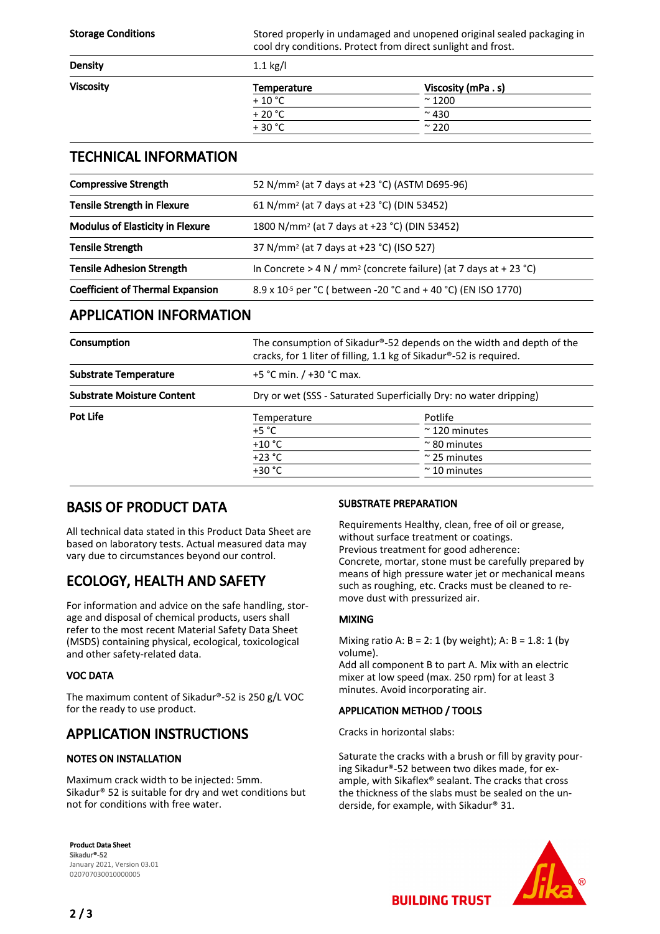Storage Conditions Stored properly in undamaged and unopened original sealed packaging in cool dry conditions. Protect from direct sunlight and frost.

| <b>Density</b>   | $1.1$ kg/l  |                   |  |
|------------------|-------------|-------------------|--|
| <b>Viscosity</b> | Temperature | Viscosity (mPa.s) |  |
|                  | $+10$ °C    | $\approx$ 1200    |  |
|                  | $+20 °C$    | $~\sim$ 430       |  |
|                  | $+30 °C$    | $\approx$ 220     |  |
|                  |             |                   |  |

#### TECHNICAL INFORMATION

| <b>Compressive Strength</b>                                                                         | 52 N/mm <sup>2</sup> (at 7 days at +23 °C) (ASTM D695-96)                     |  |
|-----------------------------------------------------------------------------------------------------|-------------------------------------------------------------------------------|--|
| <b>Tensile Strength in Flexure</b>                                                                  | 61 N/mm <sup>2</sup> (at 7 days at +23 °C) (DIN 53452)                        |  |
| <b>Modulus of Elasticity in Flexure</b><br>1800 N/mm <sup>2</sup> (at 7 days at +23 °C) (DIN 53452) |                                                                               |  |
| <b>Tensile Strength</b>                                                                             | 37 N/mm <sup>2</sup> (at 7 days at +23 °C) (ISO 527)                          |  |
| <b>Tensile Adhesion Strength</b>                                                                    | In Concrete > 4 N / mm <sup>2</sup> (concrete failure) (at 7 days at + 23 °C) |  |
| <b>Coefficient of Thermal Expansion</b>                                                             | 8.9 x 10 <sup>-5</sup> per °C (between -20 °C and +40 °C) (EN ISO 1770)       |  |

#### APPLICATION INFORMATION

| Consumption                       | The consumption of Sikadur®-52 depends on the width and depth of the<br>cracks, for 1 liter of filling, 1.1 kg of Sikadur®-52 is required. |                       |  |
|-----------------------------------|--------------------------------------------------------------------------------------------------------------------------------------------|-----------------------|--|
| <b>Substrate Temperature</b>      | +5 °C min. $/$ +30 °C max.                                                                                                                 |                       |  |
| <b>Substrate Moisture Content</b> | Dry or wet (SSS - Saturated Superficially Dry: no water dripping)                                                                          |                       |  |
| Pot Life                          | Temperature                                                                                                                                | Potlife               |  |
|                                   | +5 $^{\circ}$ C                                                                                                                            | $\approx$ 120 minutes |  |
|                                   | $+10 °C$                                                                                                                                   | $\approx$ 80 minutes  |  |
|                                   | $+23 °C$                                                                                                                                   | $\approx$ 25 minutes  |  |
|                                   | $+30 °C$                                                                                                                                   | $~\sim$ 10 minutes    |  |

# BASIS OF PRODUCT DATA

All technical data stated in this Product Data Sheet are based on laboratory tests. Actual measured data may vary due to circumstances beyond our control.

# ECOLOGY, HEALTH AND SAFETY

For information and advice on the safe handling, storage and disposal of chemical products, users shall refer to the most recent Material Safety Data Sheet (MSDS) containing physical, ecological, toxicological and other safety-related data.

#### VOC DATA

The maximum content of Sikadur®-52 is 250 g/L VOC for the ready to use product.

# APPLICATION INSTRUCTIONS

#### NOTES ON INSTALLATION

Maximum crack width to be injected: 5mm. Sikadur® 52 is suitable for dry and wet conditions but not for conditions with free water.

#### SUBSTRATE PREPARATION

Requirements Healthy, clean, free of oil or grease, without surface treatment or coatings. Previous treatment for good adherence: Concrete, mortar, stone must be carefully prepared by means of high pressure water jet or mechanical means such as roughing, etc. Cracks must be cleaned to remove dust with pressurized air.

#### MIXING

Mixing ratio A:  $B = 2: 1$  (by weight); A:  $B = 1.8: 1$  (by volume).

Add all component B to part A. Mix with an electric mixer at low speed (max. 250 rpm) for at least 3 minutes. Avoid incorporating air.

#### APPLICATION METHOD / TOOLS

Cracks in horizontal slabs:

Saturate the cracks with a brush or fill by gravity pouring Sikadur®-52 between two dikes made, for example, with Sikaflex® sealant. The cracks that cross the thickness of the slabs must be sealed on the underside, for example, with Sikadur® 31.





**BUILDING TRUST**